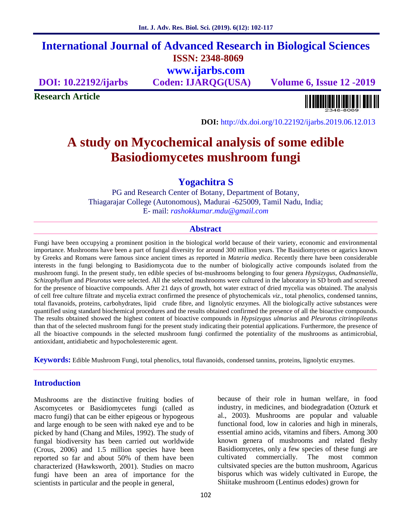# **International Journal of Advanced Research in Biological Sciences ISSN: 2348-8069 www.ijarbs.com**

**DOI: 10.22192/ijarbs Coden: IJARQG(USA) Volume 6, Issue 12 -2019**

**Research Article**

<u> Alban kalendari kalendar pada sebagai pengangkan pada atau pada atau pada atau sebagai pada atau salah pada a</u>

**DOI:** http://dx.doi.org/10.22192/ijarbs.2019.06.12.013

# **A study on Mycochemical analysis of some edible Basiodiomycetes mushroom fungi**

# **Yogachitra S**

PG and Research Center of Botany, Department of Botany, Thiagarajar College (Autonomous), Madurai -625009, Tamil Nadu, India; E- mail: *rashokkumar.mdu@gmail.com*

### **Abstract**

Fungi have been occupying a prominent position in the biological world because of their variety, economic and environmental importance. Mushrooms have been a part of fungal diversity for around 300 million years. The Basidiomycetes or agarics known by Greeks and Romans were famous since ancient times as reported in *Materia medica*. Recently there have been considerable interests in the fungi belonging to Basidiomycota due to the number of biologically active compounds isolated from the mushroom fungi. In the present study, ten edible species of bst-mushrooms belonging to four genera *Hypsizygus*, *Oudmansiella*, *Schizophyllum* and*Pleurotus* were selected. All the selected mushrooms were cultured in the laboratory in SD broth and screened for the presence of bioactive compounds. After 21 days of growth, hot water extract of dried mycelia was obtained. The analysis of cell free culture filtrate and mycelia extract confirmed the presence of phytochemicals *viz*., total phenolics, condensed tannins, total flavanoids, proteins, carbohydrates, lipid crude fibre, and lignolytic enzymes. All the biologically active substances were quantified using standard biochemical procedures and the results obtained confirmed the presence of all the bioactive compounds. The results obtained showed the highest content of bioactive compounds in *Hypsizygus ulmarius* and *Pleurotus citrinopileatus* than that of the selected mushroom fungi for the present study indicating their potential applications. Furthermore, the presence of all the bioactive compounds in the selected mushroom fungi confirmed the potentiality of the mushrooms as antimicrobial, antioxidant, antidiabetic and hypocholesteremic agent.

**Keywords:** Edible Mushroom Fungi, total phenolics, total flavanoids, condensed tannins, proteins, lignolytic enzymes.

# **Introduction**

Mushrooms are the distinctive fruiting bodies of Ascomycetes or Basidiomycetes fungi (called as macro fungi) that can be either epigeous or hypogeous and large enough to be seen with naked eye and to be picked by hand (Chang and Miles, 1992). The study of fungal biodiversity has been carried out worldwide (Crous, 2006) and 1.5 million species have been reported so far and about 50% of them have been characterized (Hawksworth, 2001). Studies on macro fungi have been an area of importance for the scientists in particular and the people in general,

because of their role in human welfare, in food industry, in medicines, and biodegradation (Ozturk et al., 2003). Mushrooms are popular and valuable functional food, low in calories and high in minerals, essential amino acids, vitamins and fibers. Among 300 known genera of mushrooms and related fleshy Basidiomycetes, only a few species of these fungi are cultivated commercially. The most common cultsivated species are the button mushroom, Agaricus bisporus which was widely cultivated in Europe, the Shiitake mushroom (Lentinus edodes) grown for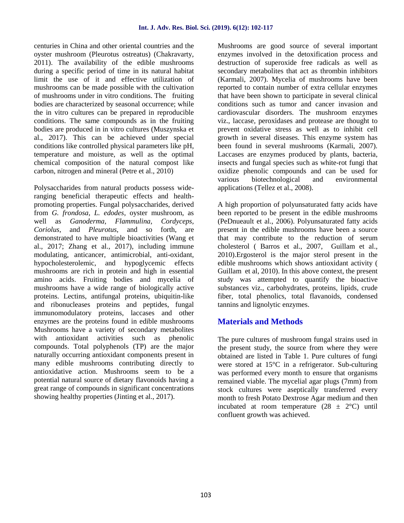centuries in China and other oriental countries and the oyster mushroom (Pleurotus ostreatus) (Chakravarty, 2011). The availability of the edible mushrooms during a specific period of time in its natural habitat limit the use of it and effective utilization of mushrooms can be made possible with the cultivation of mushrooms under in vitro conditions. The fruiting bodies are characterized by seasonal occurrence; while the in vitro cultures can be prepared in reproducible conditions. The same compounds as in the fruiting bodies are produced in in vitro cultures (Muszynska et al., 2017). This can be achieved under special conditions like controlled physical parameters like pH, temperature and moisture, as well as the optimal chemical composition of the natural compost like carbon, nitrogen and mineral (Petre et al., 2010)

Polysaccharides from natural products possess wideranging beneficial therapeutic effects and health promoting properties. Fungal polysaccharides, derived from *G. frondosa, L. edodes*, oyster mushroom, as well as *Ganoderma, Flammulina, Cordyceps, Coriolus*, and *Pleurotus*, and so forth, are demonstrated to have multiple bioactivities (Wang et al., 2017; Zhang et al., 2017), including immune modulating, anticancer, antimicrobial, anti-oxidant, hypocholesterolemic, and hypoglycemic effects mushrooms are rich in protein and high in essential amino acids. Fruiting bodies and mycelia of mushrooms have a wide range of biologically active proteins. Lectins, antifungal proteins, ubiquitin-like and ribonucleases proteins and peptides, fungal immunomodulatory proteins, laccases and other enzymes are the proteins found in edible mushrooms Mushrooms have a variety of secondary metabolites with antioxidant activities such as phenolic compounds. Total polyphenols (TP) are the major naturally occurring antioxidant components present in many edible mushrooms contributing directly to antioxidative action. Mushrooms seem to be a potential natural source of dietary flavonoids having a great range of compounds in significant concentrations showing healthy properties (Jinting et al., 2017).

Mushrooms are good source of several important enzymes involved in the detoxification process and destruction of superoxide free radicals as well as secondary metabolites that act as thrombin inhibitors (Karmali, 2007). Mycelia of mushrooms have been reported to contain number of extra cellular enzymes that have been shown to participate in several clinical conditions such as tumor and cancer invasion and cardiovascular disorders. The mushroom enzymes viz., laccase, peroxidases and protease are thought to prevent oxidative stress as well as to inhibit cell growth in several diseases. This enzyme system has been found in several mushrooms (Karmali, 2007). Laccases are enzymes produced by plants, bacteria, insects and fungal species such as white-rot fungi that oxidize phenolic compounds and can be used for various biotechnological and environmental applications (Tellez et al., 2008).

A high proportion of polyunsaturated fatty acids have been reported to be present in the edible mushrooms (PeDnueault et al., 2006). Polyunsaturated fatty acids present in the edible mushrooms have been a source that may contribute to the reduction of serum cholesterol ( Barros et al., 2007, Guillam et al., 2010).Ergosterol is the major sterol present in the edible mushrooms which shows antioxidant activity ( Guillam et al, 2010). In this above context, the present study was attempted to quantify the bioactive substances viz., carbohydrates, proteins, lipids, crude fiber, total phenolics, total flavanoids, condensed tannins and lignolytic enzymes.

# **Materials and Methods**

The pure cultures of mushroom fungal strains used in the present study, the source from where they were obtained are listed in Table 1. Pure cultures of fungi were stored at 15°C in a refrigerator. Sub-culturing was performed every month to ensure that organisms remained viable. The mycelial agar plugs (7mm) from stock cultures were aseptically transferred every month to fresh Potato Dextrose Agar medium and then incubated at room temperature  $(28 \pm 2^{\circ}C)$  until confluent growth was achieved.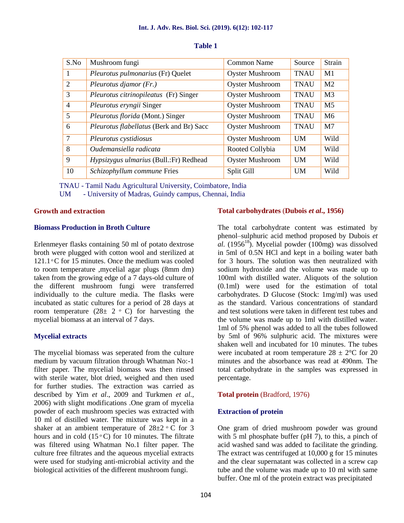| S.No           | Mushroom fungi                           | Common Name            | Source      | Strain         |
|----------------|------------------------------------------|------------------------|-------------|----------------|
| 1              | Pleurotus pulmonarius (Fr) Quelet        | <b>Oyster Mushroom</b> | <b>TNAU</b> | M1             |
| 2              | Pleurotus djamor $(Fr)$ .                | <b>Oyster Mushroom</b> | <b>TNAU</b> | M <sub>2</sub> |
| 3              | Pleurotus citrinopileatus (Fr) Singer    | <b>Oyster Mushroom</b> | <b>TNAU</b> | M <sub>3</sub> |
| $\overline{4}$ | Pleurotus eryngii Singer                 | <b>Oyster Mushroom</b> | <b>TNAU</b> | M <sub>5</sub> |
| 5              | Pleurotus florida (Mont.) Singer         | <b>Oyster Mushroom</b> | <b>TNAU</b> | M <sub>6</sub> |
| 6              | Pleurotus flabellatus (Berk and Br) Sacc | <b>Oyster Mushroom</b> | <b>TNAU</b> | M <sub>7</sub> |
| $\overline{7}$ | Pleurotus cystidiosus                    | <b>Oyster Mushroom</b> | <b>UM</b>   | Wild           |
| 8              | Oudemansiella radicata                   | Rooted Collybia        | <b>UM</b>   | Wild           |
| 9              | Hypsizygus ulmarius (Bull.:Fr) Redhead   | <b>Oyster Mushroom</b> | <b>UM</b>   | Wild           |
| 10             | Schizophyllum commune Fries              | Split Gill             | <b>UM</b>   | Wild           |

#### **Table 1**

TNAU - Tamil Nadu Agricultural University, Coimbatore, India

UM - University of Madras, Guindy campus, Chennai, India

#### **Growth and extraction**

#### **Biomass Production in Broth Culture**

Erlenmeyer flasks containing 50 ml of potato dextrose broth were plugged with cotton wool and sterilized at  $121.1$  °C for 15 minutes. Once the medium was cooled to room temperature ,mycelial agar plugs (8mm dm) taken from the growing edge of a 7 days-old culture of the different mushroom fungi were transferred individually to the culture media. The flasks were incubated as static cultures for a period of 28 days at room temperature  $(28\pm 2 \degree C)$  for harvesting the mycelial biomass at an interval of 7 days.

#### **Mycelial extracts**

The mycelial biomass was seperated from the culture medium by vacuum filtration through Whatman No:-1 filter paper. The mycelial biomass was then rinsed with sterile water, blot dried, weighed and then used for further studies. The extraction was carried as described by Yim *et al*., 2009 and Turkmen *et al.,* 2006) with slight modifications .One gram of mycelia powder of each mushroom species was extracted with 10 ml of distilled water. The mixture was kept in a shaker at an ambient temperature of  $28\pm2$  ° C for 3 hours and in cold  $(15 \degree C)$  for 10 minutes. The filtrate was filtered using Whatman No.1 filter paper. The culture free filtrates and the aqueous mycelial extracts were used for studying anti-microbial activity and the biological activities of the different mushroom fungi.

#### **Total carbohydrates** (**Dubois** *et al***., 1956)**

The total carbohydrate content was estimated by phenol–sulphuric acid method proposed by Dubois *et*  $\alpha l$ . (1956<sup>18</sup>). Mycelial powder (100mg) was dissolved in 5ml of 0.5N HCl and kept in a boiling water bath for 3 hours. The solution was then neutralized with sodium hydroxide and the volume was made up to 100ml with distilled water. Aliquots of the solution (0.1ml) were used for the estimation of total carbohydrates. D Glucose (Stock: 1mg/ml) was used as the standard. Various concentrations of standard and test solutions were taken in different test tubes and the volume was made up to 1ml with distilled water. 1ml of 5% phenol was added to all the tubes followed by 5ml of 96% sulphuric acid. The mixtures were shaken well and incubated for 10 minutes. The tubes were incubated at room temperature  $28 \pm 2^{\circ}$ C for 20 minutes and the absorbance was read at 490nm. The total carbohydrate in the samples was expressed in percentage.

#### **Total protein** (Bradford, 1976)

#### **Extraction of protein**

One gram of dried mushroom powder was ground with 5 ml phosphate buffer (pH  $7$ ), to this, a pinch of acid washed sand was added to facilitate the grinding. The extract was centrifuged at 10,000 g for 15 minutes and the clear supernatant was collected in a screw cap tube and the volume was made up to 10 ml with same buffer. One ml of the protein extract was precipitated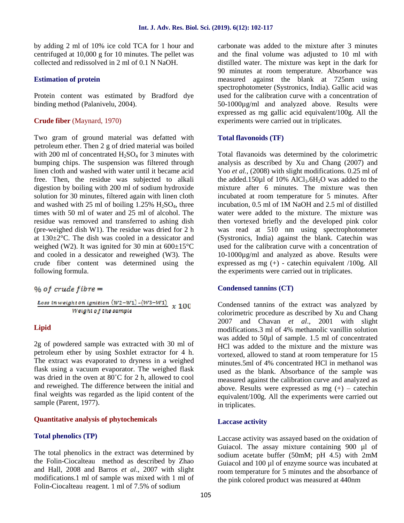by adding 2 ml of 10% ice cold TCA for 1 hour and centrifuged at 10,000 g for 10 minutes. The pellet was collected and redissolved in 2 ml of 0.1 N NaOH.

#### **Estimation of protein**

Protein content was estimated by Bradford dye binding method (Palanivelu, 2004).

#### **Crude fiber** (Maynard, 1970)

Two gram of ground material was defatted with petroleum ether. Then 2 g of dried material was boiled with 200 ml of concentrated  $H_2SO_4$  for 3 minutes with bumping chips. The suspension was filtered through linen cloth and washed with water until it became acid free. Then, the residue was subjected to alkali digestion by boiling with 200 ml of sodium hydroxide solution for 30 minutes, filtered again with linen cloth and washed with 25 ml of boiling  $1.25\%$  H<sub>2</sub>SO<sub>4</sub>, three times with 50 ml of water and 25 ml of alcohol. The residue was removed and transferred to ashing dish (pre-weighed dish W1). The residue was dried for 2 h at 130±2°C. The dish was cooled in a dessicator and weighed (W2). It was ignited for 30 min at  $600\pm15^{\circ}$ C and cooled in a dessicator and reweighed (W3). The crude fiber content was determined using the following formula.

#### % of crude  $fibre =$

$$
\frac{Loss\ in\ weight\ on\ ignition\ (W2-W1)-(W3-W1)}{Weight\ of\ the\ sample} \ \ x\ 100
$$

#### **Lipid**

2g of powdered sample was extracted with 30 ml of petroleum ether by using Soxhlet extractor for 4 h. The extract was evaporated to dryness in a weighed flask using a vacuum evaporator. The weighed flask was dried in the oven at 80˚C for 2 h, allowed to cool and reweighed. The difference between the initial and final weights was regarded as the lipid content of the sample (Parent, 1977).

#### **Quantitative analysis of phytochemicals**

#### **Total phenolics (TP)**

The total phenolics in the extract was determined by the Folin-Ciocalteau method as described by Zhao and Hall, 2008 and Barros *et al*., 2007 with slight modifications.1 ml of sample was mixed with 1 ml of Folin-Ciocalteau reagent. 1 ml of 7.5% of sodium

carbonate was added to the mixture after 3 minutes and the final volume was adjusted to 10 ml with distilled water. The mixture was kept in the dark for 90 minutes at room temperature. Absorbance was measured against the blank at 725nm using spectrophotometer (Systronics, India). Gallic acid was used for the calibration curve with a concentration of 50-1000µg/ml and analyzed above. Results were expressed as mg gallic acid equivalent/100g. All the experiments were carried out in triplicates.

#### **Total flavonoids (TF)**

Total flavanoids was determined by the colorimetric analysis as described by Xu and Chang (2007) and Yoo *et al.*, (2008) with slight modifications. 0.25 ml of the added.150 $\mu$ l of 10% AlCl<sub>3</sub>.6H<sub>2</sub>O was added to the mixture after 6 minutes. The mixture was then incubated at room temperature for 5 minutes. After incubation, 0.5 ml of 1M NaOH and 2.5 ml of distilled water were added to the mixture. The mixture was then vortexed briefly and the developed pink color was read at 510 nm using spectrophotometer (Systronics, India) against the blank. Catechin was used for the calibration curve with a concentration of 10-1000µg/ml and analyzed as above. Results were expressed as mg (+) - catechin equivalent /100g. All the experiments were carried out in triplicates.

#### **Condensed tannins (CT)**

Condensed tannins of the extract was analyzed by colorimetric procedure as described by Xu and Chang 2007 and Chavan *et al*., 2001 with slight modifications.3 ml of 4% methanolic vanillin solution was added to 50µl of sample. 1.5 ml of concentrated HCl was added to the mixture and the mixture was vortexed, allowed to stand at room temperature for 15 minutes.5ml of 4% concentrated HCl in methanol was used as the blank. Absorbance of the sample was measured against the calibration curve and analyzed as above. Results were expressed as  $mg (+) - \text{catechin}$ equivalent/100g. All the experiments were carried out in triplicates.

#### **Laccase activity**

Laccase activity was assayed based on the oxidation of Guiacol. The assay mixture containing 900 µl of sodium acetate buffer (50mM; pH 4.5) with 2mM Guiacol and 100 µl of enzyme source was incubated at room temperature for 5 minutes and the absorbance of the pink colored product was measured at 440nm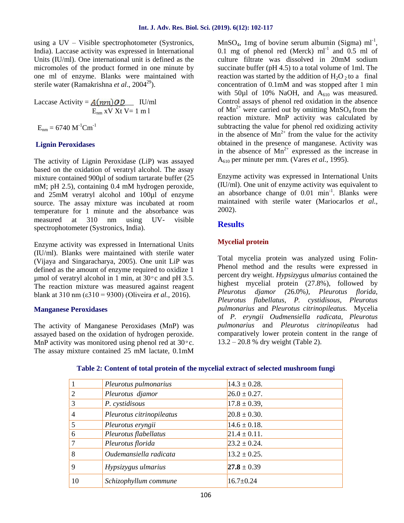using a UV – Visible spectrophotometer (Systronics, India). Laccase activity was expressed in International Units (IU/ml). One international unit is defined as the micromoles of the product formed in one minute by one ml of enzyme. Blanks were maintained with sterile water (Ramakrishna *et al.*, 2004<sup>29</sup>).

Laccase Activity =  $A(nm)$  OD IU/ml  $E_{nm}$  xV Xt V= 1 m l

 $E_{nm} = 6740 M^{-1}$ Cm<sup>-1</sup>

### **Lignin Peroxidases**

The activity of Lignin Peroxidase (LiP) was assayed based on the oxidation of veratryl alcohol. The assay mixture contained 900µl of sodium tartarate buffer (25 mM; pH 2.5), containing 0.4 mM hydrogen peroxide, and 25mM veratryl alcohol and 100µl of enzyme source. The assay mixture was incubated at room temperature for 1 minute and the absorbance was measured at 310 nm using UV- visible spectrophotometer (Systronics, India).

Enzyme activity was expressed in International Units (IU/ml). Blanks were maintained with sterile water (Vijaya and Singaracharya, 2005). One unit LiP was defined as the amount of enzyme required to oxidize 1 µmol of veratryl alcohol in 1 min, at  $30^{\circ}$ c and pH 3.5. The reaction mixture was measured against reagent blank at 310 nm (ε310 = 9300) (Oliveira *et al.,* 2016).

#### **Manganese Peroxidases**

The activity of Manganese Peroxidases (MnP) was assayed based on the oxidation of hydrogen peroxide. MnP activity was monitored using phenol red at  $30^{\circ}$ c. The assay mixture contained 25 mM lactate, 0.1mM

 $MnSO_4$ , 1mg of bovine serum albumin (Sigma) ml<sup>-1</sup>, 0.1 mg of phenol red (Merck)  $ml^{-1}$  and 0.5 ml of culture filtrate was dissolved in 20mM sodium succinate buffer (pH 4.5) to a total volume of 1ml. The reaction was started by the addition of  $H_2O_2$  to a final concentration of 0.1mM and was stopped after 1 min with 50 $\mu$ l of 10% NaOH, and A<sub>610</sub> was measured. Control assays of phenol red oxidation in the absence of  $Mn^{2+}$  were carried out by omitting  $MnSO_4$  from the reaction mixture. MnP activity was calculated by subtracting the value for phenol red oxidizing activity in the absence of  $Mn^{2+}$  from the value for the activity obtained in the presence of manganese. Activity was in the absence of  $Mn^{2+}$  expressed as the increase in A<sup>610</sup> per minute per mm. (Vares *et al.,* 1995).

Enzyme activity was expressed in International Units (IU/ml). One unit of enzyme activity was equivalent to an absorbance change of  $0.01$  min<sup>-1</sup>. Blanks were maintained with sterile water (Mariocarlos *et al.,* 2002).

# **Results**

# **Mycelial protein**

Total mycelia protein was analyzed using Folin- Phenol method and the results were expressed in percent dry weight. *Hypsizygus ulmarius* contained the highest mycelial protein (27.8%), followed by *Pleurotus djamor (*26.0%*), Pleurotus florida, Pleurotus flabellatus, P. cystidisous, Pleurotus pulmonarius* and *Pleurotus citrinopileatus.* Mycelia of *P. eryngii Oudmensiella radicata, Pleurotus pulmonarius* and *Pleurotus citrinopileatus* had comparatively lower protein content in the range of 13.2 – 20.8 % dry weight (Table 2).

|                | Pleurotus pulmonarius     | $14.3 \pm 0.28$ . |
|----------------|---------------------------|-------------------|
| $\overline{c}$ | Pleurotus djamor          | $26.0 \pm 0.27$ . |
| 3              | P. cystidisous            | $17.8 \pm 0.39$ , |
| 4              | Pleurotus citrinopileatus | $20.8 \pm 0.30$ . |
| 5              | Pleurotus eryngii         | $14.6 \pm 0.18$ . |
| 6              | Pleurotus flabellatus     | $21.4 \pm 0.11$ . |
|                | Pleurotus florida         | $23.2 \pm 0.24$ . |
| 8              | Oudemansiella radicata    | $13.2 \pm 0.25$ . |
| 9              | Hypsizygus ulmarius       | $27.8 \pm 0.39$   |
| 10             | Schizophyllum commune     | $16.7 \pm 0.24$   |

# **Table 2: Content of total protein of the mycelial extract of selected mushroom fungi**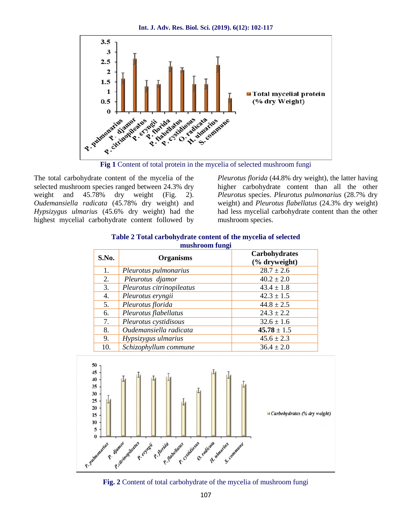**Int. J. Adv. Res. Biol. Sci. (2019). 6(12): 102-117**



**Fig 1** Content of total protein in the mycelia of selected mushroom fungi

The total carbohydrate content of the mycelia of the selected mushroom species ranged between 24.3% dry weight and 45.78% dry weight (Fig. 2). *Oudemansiella radicata* (45.78% dry weight) and *Hypsizygus ulmarius* (45.6% dry weight) had the highest mycelial carbohydrate content followed by *Pleurotus florida* (44.8% dry weight), the latter having higher carbohydrate content than all the other *Pleurotus* species. *Pleurotus pulmonarius* (28.7% dry weight) and *Pleurotus flabellatus* (24.3% dry weight) had less mycelial carbohydrate content than the other mushroom species.

| S.No. | <b>Organisms</b>          | <b>Carbohydrates</b><br>(% dryweight) |  |
|-------|---------------------------|---------------------------------------|--|
| 1.    | Pleurotus pulmonarius     | $28.7 \pm 2.6$                        |  |
| 2.    | Pleurotus djamor          | $40.2 \pm 2.0$                        |  |
| 3.    | Pleurotus citrinopileatus | $43.4 \pm 1.8$                        |  |
| 4.    | Pleurotus eryngii         | $42.3 \pm 1.5$                        |  |
| 5.    | Pleurotus florida         | $44.8 \pm 2.5$                        |  |
| 6.    | Pleurotus flabellatus     | $24.3 \pm 2.2$                        |  |
| 7.    | Pleurotus cystidisous     | $32.6 \pm 1.6$                        |  |
| 8.    | Oudemansiella radicata    | $45.78 \pm 1.5$                       |  |
| 9.    | Hypsizygus ulmarius       | $45.6 \pm 2.3$                        |  |
| 10.   | Schizophyllum commune     | $36.4 \pm 2.0$                        |  |

#### **Table 2 Total carbohydrate content of the mycelia of selected mushroom fungi**



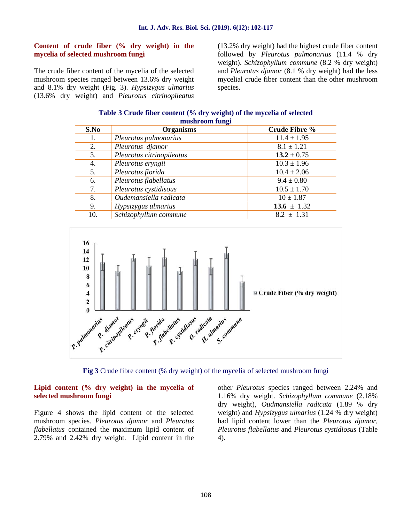#### **Content of crude fiber (% dry weight) in the mycelia of selected mushroom fungi**

The crude fiber content of the mycelia of the selected mushroom species ranged between 13.6% dry weight and 8.1% dry weight (Fig. 3). *Hypsizygus ulmarius* (13.6% dry weight) and *Pleurotus citrinopileatus* (13.2% dry weight) had the highest crude fiber content followed by *Pleurotus pulmonarius* (11.4 % dry weight). *Schizophyllum commune* (8.2 % dry weight) and *Pleurotus djamor* (8.1 % dry weight) had the less mycelial crude fiber content than the other mushroom species.

#### **Table 3 Crude fiber content (% dry weight) of the mycelia of selected mushroom fungi**

| <u>musin oomi rumgi</u> |                           |                      |
|-------------------------|---------------------------|----------------------|
| S.No                    | <b>Organisms</b>          | <b>Crude Fibre %</b> |
| 1.                      | Pleurotus pulmonarius     | $11.4 \pm 1.95$      |
| 2.                      | Pleurotus djamor          | $8.1 \pm 1.21$       |
| 3.                      | Pleurotus citrinopileatus | $13.2 \pm 0.75$      |
| 4.                      | Pleurotus eryngii         | $10.3 \pm 1.96$      |
| 5.                      | Pleurotus florida         | $10.4 \pm 2.06$      |
| 6.                      | Pleurotus flabellatus     | $9.4 \pm 0.80$       |
| 7.                      | Pleurotus cystidisous     | $10.5 \pm 1.70$      |
| 8.                      | Oudemansiella radicata    | $10 \pm 1.87$        |
| 9.                      | Hypsizygus ulmarius       | 13.6 $\pm$ 1.32      |
| 10.                     | Schizophyllum commune     | $8.2 \pm 1.31$       |





#### **Lipid content (% dry weight) in the mycelia of selected mushroom fungi**

Figure 4 shows the lipid content of the selected mushroom species. *Pleurotus djamor* and *Pleurotus flabellatus* contained the maximum lipid content of 2.79% and 2.42% dry weight. Lipid content in the

other *Pleurotus* species ranged between 2.24% and 1.16% dry weight. *Schizophyllum commune* (2.18% dry weight), *Oudmansiella radicata* (1.89 % dry weight) and *Hypsizygus ulmarius* (1.24 % dry weight) had lipid content lower than the *Pleurotus djamor, Pleurotus flabellatus* and *Pleurotus cystidiosus* (Table 4).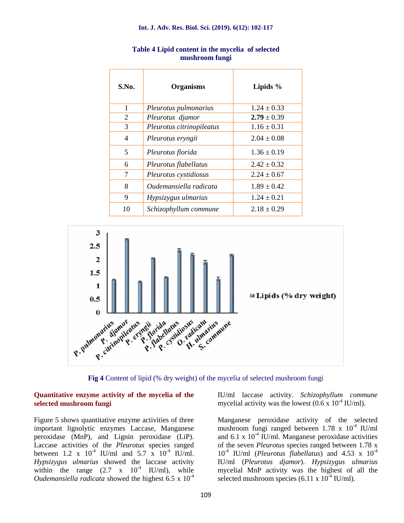| S.No. | <b>Organisms</b>          | Lipids $%$      |
|-------|---------------------------|-----------------|
| 1     | Pleurotus pulmonarius     | $1.24 \pm 0.33$ |
| 2     | Pleurotus djamor          | $2.79 \pm 0.39$ |
| 3     | Pleurotus citrinopileatus | $1.16 \pm 0.31$ |
| 4     | Pleurotus eryngii         | $2.04 \pm 0.08$ |
| 5     | Pleurotus florida         | $1.36 \pm 0.19$ |
| 6     | Pleurotus flabellatus     | $2.42 \pm 0.32$ |
| 7     | Pleurotus cystidiosus     | $2.24 \pm 0.67$ |
| 8     | Oudemansiella radicata    | $1.89 \pm 0.42$ |
| 9     | Hypsizygus ulmarius       | $1.24 \pm 0.21$ |
| 10    | Schizophyllum commune     | $2.18 \pm 0.29$ |

#### **Table 4 Lipid content in the mycelia of selected mushroom fungi**



**Fig 4** Content of lipid (% dry weight) of the mycelia of selected mushroom fungi

#### **Quantitative enzyme activity of the mycelia of the selected mushroom fungi**

Figure 5 shows quantitative enzyme activities of three important lignolytic enzymes Laccase, Manganese peroxidase (MnP), and Lignin peroxidase (LiP). Laccase activities of the *Pleurotus* species ranged between 1.2 x  $10^{4}$  IU/ml and 5.7 x  $10^{4}$  IU/ml. *Hypsizygus ulmarius* showed the laccase activity within the range  $(2.7 \times 10^{-4} \text{ IU/ml})$ , while *Oudemansiella radicata* showed the highest 6.5 x 10<sup>-4</sup>

IU/ml laccase activity. *Schizophyllum commune* mycelial activity was the lowest  $(0.6 \times 10^{-4} \text{ IU/ml})$ .

Manganese peroxidase activity of the selected mushroom fungi ranged between  $1.78 \times 10^{-4}$  IU/ml and 6.1 x  $10^{-4}$  IU/ml. Manganese peroxidase activities of the seven *Pleurotus* species ranged between 1.78 x 10-4 IU/ml (*Pleurotus flabellatus*) and 4.53 x 10-4 IU/ml (*Pleurotus djamor*). *Hypsizygus ulmarius* mycelial MnP activity was the highest of all the selected mushroom species (6.11 x  $10^{-4}$  IU/ml).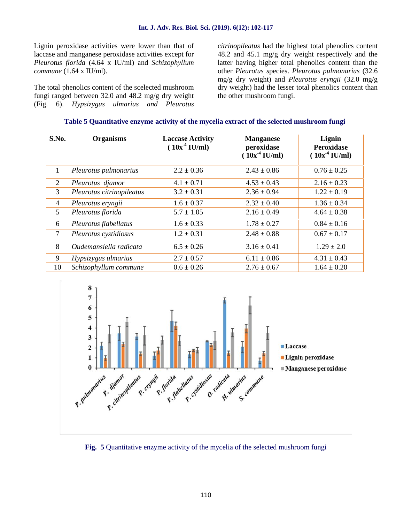Lignin peroxidase activities were lower than that of laccase and manganese peroxidase activities except for *Pleurotus florida* (4.64 x IU/ml) and *Schizophyllum commune* (1.64 x IU/ml).

The total phenolics content of the scelected mushroom fungi ranged between 32.0 and 48.2 mg/g dry weight (Fig. 6). *Hypsizygus ulmarius and Pleurotus*

*citrinopileatus* had the highest total phenolics content 48.2 and 45.1 mg/g dry weight respectively and the latter having higher total phenolics content than the other *Pleurotus s*pecies. *Pleurotus pulmonarius* (32.6 mg/g dry weight) and *Pleurotus eryngii* (32.0 mg/g dry weight) had the lesser total phenolics content than the other mushroom fungi.

|  | Table 5 Quantitative enzyme activity of the mycelia extract of the selected mushroom fungi |
|--|--------------------------------------------------------------------------------------------|
|  |                                                                                            |

| S.No.          | <b>Organisms</b>          | <b>Laccase Activity</b><br>$(10x^4 \text{ IU/ml})$ | <b>Manganese</b><br>peroxidase<br>$(10x^4 \text{ IU/ml})$ | Lignin<br><b>Peroxidase</b><br>$(10x^4 \text{ IU/ml})$ |
|----------------|---------------------------|----------------------------------------------------|-----------------------------------------------------------|--------------------------------------------------------|
| 1              | Pleurotus pulmonarius     | $2.2 \pm 0.36$                                     | $2.43 \pm 0.86$                                           | $0.76 \pm 0.25$                                        |
| $\overline{2}$ | Pleurotus djamor          | $4.1 \pm 0.71$                                     | $4.53 \pm 0.43$                                           | $2.16 \pm 0.23$                                        |
| 3              | Pleurotus citrinopileatus | $3.2 \pm 0.31$                                     | $2.36 \pm 0.94$                                           | $1.22 \pm 0.19$                                        |
| $\overline{4}$ | Pleurotus eryngii         | $1.6 \pm 0.37$                                     | $2.32 \pm 0.40$                                           | $1.36 \pm 0.34$                                        |
| 5              | Pleurotus florida         | $5.7 \pm 1.05$                                     | $2.16 \pm 0.49$                                           | $4.64 \pm 0.38$                                        |
| 6              | Pleurotus flabellatus     | $1.6 \pm 0.33$                                     | $1.78 \pm 0.27$                                           | $0.84 \pm 0.16$                                        |
| 7              | Pleurotus cystidiosus     | $1.2 \pm 0.31$                                     | $2.48 \pm 0.88$                                           | $0.67 \pm 0.17$                                        |
| 8              | Oudemansiella radicata    | $6.5 \pm 0.26$                                     | $3.16 \pm 0.41$                                           | $1.29 \pm 2.0$                                         |
| 9              | Hypsizygus ulmarius       | $2.7 \pm 0.57$                                     | $6.11 \pm 0.86$                                           | $4.31 \pm 0.43$                                        |
| 10             | Schizophyllum commune     | $0.6 \pm 0.26$                                     | $2.76 \pm 0.67$                                           | $1.64 \pm 0.20$                                        |



**Fig. 5** Quantitative enzyme activity of the mycelia of the selected mushroom fungi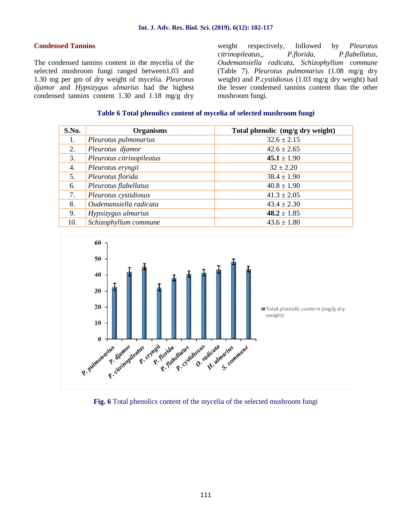#### **Condensed Tannins**

The condensed tannins content in the mycelia of the selected mushroom fungi ranged between1.03 and 1.30 mg per gm of dry weight of mycelia. *Pleurotus djamor* and *Hypsizygus ulmarius* had the highest condensed tannins content 1.30 and 1.18 mg/g dry

weight respectively, followed by *Pleurotus citrinopileatus,*, *P.florida, P.flabellatus, Oudemansiella radicata, Schizophyllum commune* (Table 7). *Pleurotus pulmonarius* (1.08 mg/g dry weight) and *P.cystidiosus* (1.03 mg/g dry weight) had the lesser condensed tannins content than the other mushroom fungi.

#### **Table 6 Total phenolics content of mycelia of selected mushroom fungi**

| S.No. | <b>Organisms</b>          | Total phenolic (mg/g dry weight) |
|-------|---------------------------|----------------------------------|
| 1.    | Pleurotus pulmonarius     | $32.6 \pm 2.15$                  |
| 2.    | Pleurotus djamor          | $42.6 \pm 2.65$                  |
| 3.    | Pleurotus citrinopileatus | $45.1 \pm 1.90$                  |
| 4.    | Pleurotus eryngii         | $32 \pm 2.20$                    |
| 5.    | Pleurotus florida         | $38.4 \pm 1.90$                  |
| 6.    | Pleurotus flabellatus     | $40.8 \pm 1.90$                  |
| 7.    | Pleurotus cystidiosus     | $41.3 \pm 2.05$                  |
| 8.    | Oudemansiella radicata    | $43.4 \pm 2.30$                  |
| 9.    | Hypsizygus ulmarius       | $48.2 \pm 1.85$                  |
| 10.   | Schizophyllum commune     | $43.6 \pm 1.80$                  |



**Fig. 6** Total phenolics content of the mycelia of the selected mushroom fungi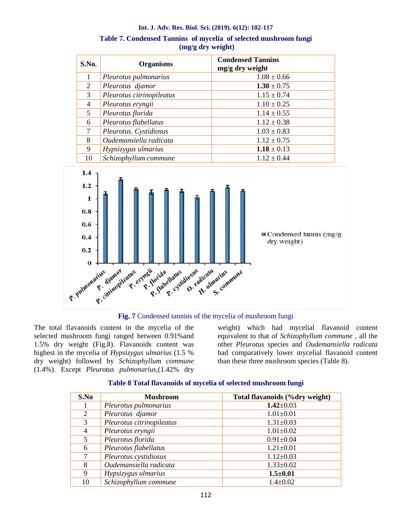| S.No.          | <b>Organisms</b>          | <b>Condensed Tannins</b><br>mg/g dry weight |
|----------------|---------------------------|---------------------------------------------|
|                | Pleurotus pulmonarius     | $1.08 \pm 0.66$                             |
| 2              | Pleurotus djamor          | $1.30 \pm 0.75$                             |
| 3              | Pleurotus citrinopileatus | $1.15 \pm 0.74$                             |
| $\overline{4}$ | Pleurotus eryngii         | $1.10 \pm 0.25$                             |
| 5              | Pleurotus florida         | $1.14 \pm 0.55$                             |
| 6              | Pleurotus flabellatus     | $1.12 \pm 0.38$                             |
| 7              | Pleurotus. Cystidiosus    | $1.03 \pm 0.83$                             |
| 8              | Oudemansiella radicata    | $1.12 \pm 0.75$                             |
| 9              | Hypsizygus ulmarius       | $1.18 \pm 0.13$                             |
| 10             | Schizophyllum commune     | $1.12 \pm 0.44$                             |







The total flavanoids content in the mycelia of the selected mushroom fungi ranged between 0.91%and 1.5% dry weight (Fig.8). Flavanoids content was highest in the mycelia of *Hypsizygus ulmarius* (1.5 % dry weight) followed by *Schizophyllum commune* (1.4%). Except *Pleurotus pulmonarius,*(1.42% dry

weight) which had mycelial flavanoid content equivalent to that of *Schizophyllum commune* , all the other *Pleurotus* species and *Oudemansiella radicata* had comparatively lower mycelial flavanoid content than these three mushroom species (Table 8).

| S.No | <b>Mushroom</b>           | Total flavanoids (%dry weight) |
|------|---------------------------|--------------------------------|
|      | Pleurotus pulmonarius     | $1.42 \pm 0.03$                |
| 2    | Pleurotus djamor          | $1.01 \pm 0.01$                |
| 3    | Pleurotus citrinopileatus | $1.31 \pm 0.03$                |
| 4    | Pleurotus eryngii         | $1.01 \pm 0.02$                |
| 5    | Pleurotus florida         | $0.91 \pm 0.04$                |
| 6    | Pleurotus flabellatus     | $1.21 \pm 0.01$                |
| 7    | Pleurotus cystidiosus     | $1.12 \pm 0.03$                |
| 8    | Oudemansiella radicata    | $1.33 \pm 0.02$                |
| 9    | Hypsizygus ulmarius       | $1.5 \pm 0.01$                 |
| 10   | Schizophyllum commune     | $1.4 \pm 0.02$                 |

# **Table 8 Total flavanoids of mycelia of selected mushroom fungi**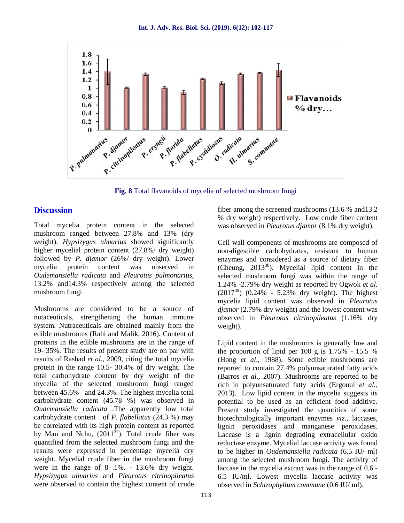

**Fig. 8** Total flavanoids of mycelia of selected mushroom fungi

# **Discussion**

Total mycelia protein content in the selected mushroom ranged between 27.8% and 13% (dry weight). *Hypsizygus ulmarius* showed significantly higher mycelial protein content (27.8%/ dry weight) followed by *P. djamor* (26%/ dry weight). Lower mycelia protein content was observed in *Oudemansiella radicata* and *Pleurotus pulmonarius,* 13.2% and14.3% respectively among the selected mushroom fungi.

Mushrooms are considered to be a source of nutaceuticals, strengthening the human immune system. Nutraceuticals are obtained mainly from the edible mushrooms (Rahi and Malik, 2016). Content of proteins in the edible mushrooms are in the range of 19- 35%. The results of present study are on par with results of Rashad *et al.*, 2009, citing the total mycelia protein in the range 10.5- 30.4% of dry weight. The total carbohydrate content by dry weight of the mycelia of the selected mushroom fungi ranged between 45.6% and 24.3%. The highest mycelia total carbohydrate content (45.78 %) was observed in *Oudemansiella radicata* .The apparently low total carbohydrate content of *P. flabellatus* (24.3 %) may be correlated with its high protein content as reported by Mau and Nchu,  $(2011^{37})$ . Total crude fiber was quantified from the selected mushroom fungi and the results were expressed in percentage mycelia dry weight. Mycelial crude fiber in the mushroom fungi were in the range of 8 .1%. - 13.6% dry weight. *Hypsizygus ulmarius* and *Pleurotus citrinopileatus* were observed to contain the highest content of crude fiber among the screened mushrooms (13.6 % and13.2 % dry weight) respectively. Low crude fiber content was observed in *Pleurotus djamor* (8.1% dry weight).

Cell wall components of mushrooms are composed of non-digestible carbohydrates, resistant to human enzymes and considered as a source of dietary fiber (Cheung,  $2013^{38}$ ). Mycelial lipid content in the selected mushroom fungi was within the range of 1.24% -2.79% dry weight as reported by Ogwok *et al.*  $(2017^{39})$   $(0.24\% - 5.23\%$  dry weight). The highest mycelia lipid content was observed in *Pleurotus djamor* (2.79% dry weight) and the lowest content was observed in *Pleurotus citrinopileatus* (1.16% dry weight).

Lipid content in the mushrooms is generally low and the proportion of lipid per 100 g is  $1.75\%$  - 15.5 % (Hong *et al*., 1988). Some edible mushrooms are reported to contain 27.4% polyunsaturated fatty acids (Barros *et al.,* 2007). Mushrooms are reported to be rich in polyunsaturated fatty acids (Ergonul *et al.,* 2013). Low lipid content in the mycelia suggests its potential to be used as an efficient food additive. Present study investigated the quantities of some biotechnologically important enzymes *viz.,* laccases, lignin peroxidases and manganese peroxidases. Laccase is a lignin degrading extracellular oxido reductase enzyme. Mycelial laccase activity was found to be higher in *Oudemansiella radicata* (6.5 IU/ ml) among the selected mushroom fungi. The activity of laccase in the mycelia extract was in the range of 0.6 - 6.5 IU/ml. Lowest mycelia laccase activity was observed in *Schizophyllum commune* (0.6 IU/ ml).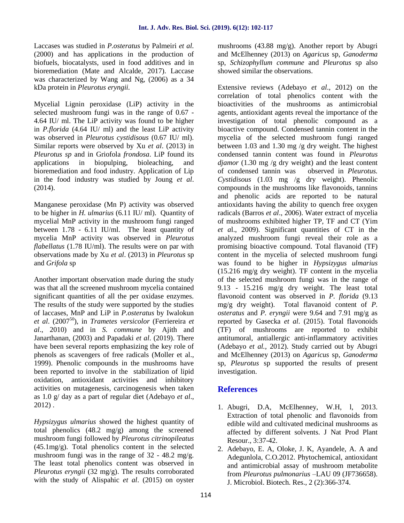Laccases was studied in *P.osteratus* by Palmeiri *et al.* (2000) and has applications in the production of biofuels, biocatalysts, used in food additives and in bioremediation (Mate and Alcalde, 2017). Laccase was characterized by Wang and Ng, (2006) as a 34 kDa protein in *Pleurotus eryngii.*

Mycelial Lignin peroxidase (LiP) activity in the selected mushroom fungi was in the range of 0.67 - 4.64 IU/ ml. The LiP activity was found to be higher in *P.florida* (4.64 IU/ ml) and the least LiP activity was observed in *Pleurotus cystidisous* (0.67 IU/ ml). Similar reports were observed by Xu *et al*. (2013) in *Pleurotus sp* and in Griofola *frondosa*. LiP found its applications in biopulping, bioleaching, and bioremediation and food industry. Application of Lip in the food industry was studied by Joung *et al*. (2014).

Manganese peroxidase (Mn P) activity was observed to be higher in *H. ulmarius* (6.11 IU/ ml). Quantity of mycelial MnP activity in the mushroom fungi ranged between 1.78 - 6.11 IU/ml. The least quantity of mycelia MnP activity was observed in *Pleurotus flabellatus* (1.78 IU/ml). The results were on par with observations made by Xu *et al*. (2013) in *Pleurotus* sp and *Grifola* sp

Another important observation made during the study was that all the screened mushroom mycelia contained significant quantities of all the per oxidase enzymes. The results of the study were supported by the studies of laccases, MnP and LiP in *P.osteratus* by Iwalokun *et al*. (2007<sup>50</sup>), in *Trametes versicolor* (Ferriereira *et al*., 2010) and in *S. commune* by Ajith and Janarthanan, (2003) and Papadaki *et al*. (2019). There have been several reports emphasizing the key role of phenols as scavengers of free radicals (Moller et al., 1999). Phenolic compounds in the mushrooms have been reported to involve in the stabilization of lipid oxidation, antioxidant activities and inhibitory activities on mutagenesis, carcinogenesis when taken as 1.0 g/ day as a part of regular diet (Adebayo *et al*., 2012) .

*Hypsizygus ulmarius* showed the highest quantity of total phenolics (48.2 mg/g) among the screened mushroom fungi followed by *Pleurotus citrinopileatus* (45.1mg/g). Total phenolics content in the selected mushroom fungi was in the range of 32 - 48.2 mg/g. The least total phenolics content was observed in *Pleurotus eryngii* (32 mg/g). The results corroborated with the study of Alispahic *et al*. (2015) on oyster mushrooms (43.88 mg/g). Another report by Abugri and McElhenney (2013) on *Agaricus* sp, *Ganoderma* sp, *Schizophyllum commune* and *Pleurotus* sp also showed similar the observations.

Extensive reviews (Adebayo *et al*., 2012) on the correlation of total phenolics content with the bioactivities of the mushrooms as antimicrobial agents, antioxidant agents reveal the importance of the investigation of total phenolic compound as a bioactive compound. Condensed tannin content in the mycelia of the selected mushroom fungi ranged between 1.03 and 1.30 mg /g dry weight. The highest condensed tannin content was found in *Pleurotus djamor* (1.30 mg /g dry weight) and the least content of condensed tannin was observed in *Pleurotus. Cystidisous* (1.03 mg /g dry weight). Phenolic compounds in the mushrooms like flavonoids, tannins and phenolic acids are reported to be natural antioxidants having the ability to quench free oxygen radicals (Barros *et al*., 2006). Water extract of mycelia of mushrooms exhibited higher TP, TF and CT (Yim *et a*l., 2009). Significant quantities of CT in the analyzed mushroom fungi reveal their role as a promising bioactive compound. Total flavanoid (TF) content in the mycelia of selected mushroom fungi was found to be higher in *Hypsizygus ulmarius* (15.216 mg/g dry weight). TF content in the mycelia of the selected mushroom fungi was in the range of 9.13 - 15.216 mg/g dry weight. The least total flavonoid content was observed in *P. florida* (9.13 mg/g dry weight). Total flavanoid content of *P. osteratus* and *P. eryngii* were 9.64 and 7.91 mg/g as reported by Gasecka *et al*. (2015). Total flavonoids (TF) of mushrooms are reported to exhibit antitumoral, antiallergic anti-inflammatory activities (Adebayo *et al.,* 2012). Study carried out by Abugri and McElhenney (2013) on *Agaricus* sp, *Ganoderma* sp, *Pleurotus* sp supported the results of present investigation.

# **References**

- 1. Abugri, D.A, McElhenney, W.H, l, 2013. Extraction of total phenolic and flavonoids from edible wild and cultivated medicinal mushrooms as affected by different solvents. J Nat Prod Plant Resour., 3:37-42.
- 2. Adebayo, E. A, Oloke, J. K, Ayandele, A. A and Adegunlola, C.O.2012. Phytochemical, antioxidant and antimicrobial assay of mushroom metabolite from *Pleurotus pulmonarius* –LAU 09 (JF736658). J. Microbiol. Biotech. Res., 2 (2):366-374.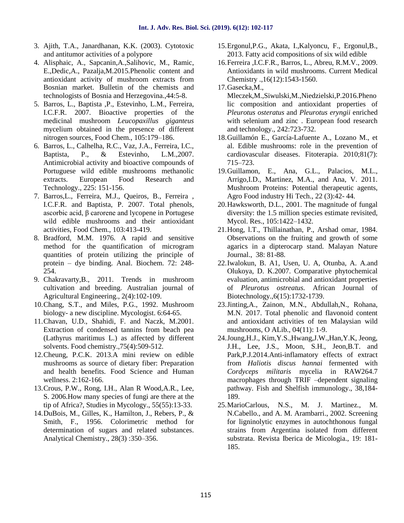- 3. Ajith, T.A., Janardhanan, K.K. (2003). Cytotoxic and antitumor activities of a polypore
- 4. Alisphaic, A., Sapcanin,A.,Salihovic, M., Ramic, E.,Dedic,A., Pazalja,M.2015.Phenolic content and antioxidant activity of mushroom extracts from Bosnian market. Bulletin of the chemists and technologists of Bosnia and Herzegovina.,44:5-8.
- 5. Barros, L., Baptista ,P., Estevinho, L.M., Ferreira, I.C.F.R. 2007. Bioactive properties of the medicinal mushroom *Leucopaxillus giganteus* mycelium obtained in the presence of different nitrogen sources, Food Chem., 105:179–186.
- 6. Barros, L., Calhelha, R.C., Vaz, J.A., Ferreira, I.C., Baptista, P., & Estevinho, L.M.,2007. Antimicrobial activity and bioactive compounds of Portuguese wild edible mushrooms methanolic extracts. European Food Research and Technology., 225: 151-156.
- 7. Barros,L., Ferreira, M.J., Queiros, B., Ferreira , I.C.F.R. and Baptista, P. 2007. Total phenols, ascorbic acid, β carorene and lycopene in Portugese wild edible mushrooms and their antioxidant activities, Food Chem., 103:413-419.
- 8. Bradford, M.M. 1976. A rapid and sensitive method for the quantification of microgram quantities of protein utilizing the principle of protein – dye binding. Anal. Biochem. 72: 248- 254.
- 9. Chakravarty,B., 2011. Trends in mushroom cultivation and breeding. Australian journal of Agricultural Engineering., 2(4):102-109.
- 10.Chang, S.T., and Miles, P.G., 1992. Mushroom biology- a new discipline. Mycologist. 6:64-65.
- 11.Chavan, U.D., Shahidi, F. and Naczk, M.2001. Extraction of condensed tannins from beach pea (Lathyrus maritimus L.) as affected by different solvents. Food chemistry.,75(4):509-512.
- 12.Cheung, P.C.K. 2013.A mini review on edible mushrooms as source of dietary fiber: Preparation and health benefits. Food Science and Human wellness. 2:162-166.
- 13.Crous, P.W., Rong, I.H., Alan R Wood,A.R., Lee, S. 2006.How many species of fungi are there at the tip of Africa?, Studies in Mycology., 55(55):13-33.
- 14.DuBois, M., Gilles, K., Hamilton, J., Rebers, P., & Smith, F., 1956. Colorimetric method for determination of sugars and related substances. Analytical Chemistry., 28(3) :350–356.
- 15.Ergonul,P.G., Akata, I.,Kalyoncu, F., Ergonul,B., 2013. Fatty acid compositions of six wild edible
- 16.Ferreira ,I.C.F.R., Barros, L., Abreu, R.M.V., 2009. Antioxidants in wild mushrooms. Current Medical Chemistry .,16(12):1543-1560.

Mleczek,M.,Siwulski,M.,Niedzielski,P.2016.Pheno lic composition and antioxidant properties of *Pleurotus osteratus* and *Pleurotus eryngii* enriched with selenium and zinc . European food research and technology., 242:723-732.

- 18.Guillamón E., García-Lafuente A., Lozano M., et al. Edible mushrooms: role in the prevention of cardiovascular diseases. Fitoterapia. 2010;81(7): 715–723.
- 19.Guillamon, E., Ana, G.L., Palacios, M.L., Arrigo,I.D., Martinez, M.A., and Ana, V. 2011. Mushroom Proteins: Potential therapeutic agents, Agro Food industry Hi Tech., 22 (3):42- 44.
- 20.Hawksworth, D.L., 2001. The magnitude of fungal diversity: the 1.5 million species estimate revisited, Mycol. Res., 105:1422–1432.
- 21.Hong, l.T., Thillainathan, P., Arshad omar, 1984. Observations on the fruiting and growth of some agarics in a dipterocarp stand. Malayan Nature Journal., 38: 81-88.
- 22.Iwalokun, B. A1, Usen, U. A, Otunba, A. A.and Olukoya, D. K.2007. Comparative phytochemical evaluation, antimicrobial and antioxidant properties of *Pleurotus ostreatus.* African Journal of Biotechnology.,6(15):1732-1739.
- 23.Jinting,A., Zainon, M.N., Abdullah,N., Rohana, M.N. 2017. Total phenolic and flavonoid content and antioxidant activities of ten Malaysian wild mushrooms, O ALib., 04(11): 1-9.
- 24.Joung,H.J., Kim,Y.S.,Hwang,J.W.,Han,Y.K, Jeong, J.H., Lee, J.S., Moon, S.H., Jeon,B.T. and Park,P.J.2014.Anti-inflamatory effects of extract from *Haliotis discus hannai* fermented with *Cordyceps militaris* mycelia in RAW264.7 macrophages through TRIF –dependent signaling pathway. Fish and Shelfish immunology., 38,184- 189.
- 25.MarioCarlous, N.S., M. J. Martinez., M. N.Cabello., and A. M. Arambarri., 2002. Screening for ligninolytic enzymes in autochthonous fungal strains from Argentina isolated from different substrata. Revista Iberica de Micologia., 19: 181- 185.

<sup>17.</sup>Gasecka,M.,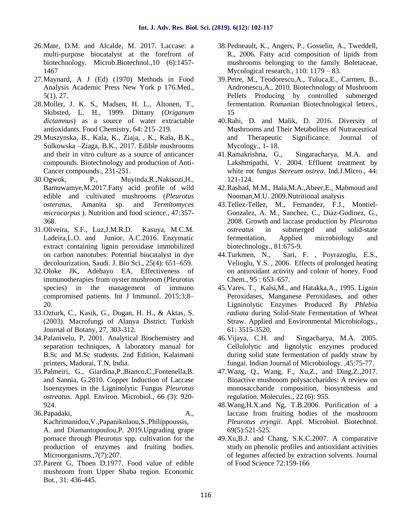- 26.Mate, D.M. and Alcalde, M. 2017. Laccase: a multi-purpose biocatalyst at the forefront of biotechnology. Microb.Biotechnol.,10 (6):1457- 1467
- 27.Maynard, A J (Ed) (1970) Methods in Food Analysis Academic Press New York p 176.Med., 5(1), 27.
- 28.Moller, J. K. S., Madsen, H. L., Altonen, T., Skibsted, L. H., 1999. Dittany (*Origanum dictamnus*) as a source of water extractable antioxidants. Food Chemistry, 64: 215–219.
- 29.Muszynska, B., Kala, K., Ziaja, , K., Kala, B.K., Sulkowska –Ziaga, B.K., 2017. Edible mushrooms and their in vitro culture as a source of anticancer compounds. Biotechnology and production of Anti- Cancer compounds., 231-251.
- 30.Ogwok, P., Muyinda,R.,Nakisozi,H., Bamuwamye,M.2017.Fatty acid profile of wild edible and cultivated mushrooms (*Pleurotus osteratus*, Amanita sp. and *Termitomyces microcarpus* ). Nutrition and food science., 47:357- 368.
- 31.Oliveira, S.F., Luz,J.M.R.D. Kasuya, M.C.M. Ladeira,L.O. and Junior, A.C.2016. Enzymatic extract containing lignin peroxidase immobilized biotechnology.,<br>on carbon nanotubes: Potential biocatalyst in dye 44. Turkmen, N., on carbon nanotubes: Potential biocatalyst in dye decolourization, Saudi. J. Bio Sci., 25(4): 651–659.
- 32.Oloke JK, Adebayo EA. Effectiveness of immunotherapies from oyster mushroom (Pleurotus species) in the management of immuno compromised patients. Int J Immunol. 2015;3:8– 20.
- 33.Ozturk, C., Kasik, G., Dogan, H. H., & Aktas, S. (2003). Macrofungi of Alanya District. Turkish Journal of Botany, 27, 303-312.
- 34.Palanivelu, P, 2001. Analytical Biochemistry and separation techniques, A laboratory manual for B.Sc and M.Sc students. 2nd Edition, Kalaimani printers, Madurai, T.N, India.
- 35.Palmeiri, G., Giardina,P.,Bianco,C.,Fontenella,B. and Sannia, G.2010. Copper Induction of Laccase Isoenzymes in the Ligninolytic Fungus *Pleurotus ostreatus*. Appl. Environ. Microbiol., 66 (3): 920- 924.
- 36.Papadaki, A., Kachrimanidou,V.,Papanikolaou,S.,Philippoussis, A. and Diamantopoulou,P. 2019.Upgrading grape pomace through Pleurotus spp. cultivation for the production of enzymes and fruiting bodies. Microorganisms., 7(7): 207.
- 37.Parent G, Thoen D.1977. Food value of edible mushroom from Upper Shaba region. Economic Bot., 31: 436-445.
- 38.Pedneault, K., Angers, P., Gosselin, A., Tweddell, R., 2006. Fatty acid composition of lipids from mushrooms belonging to the family Boletaceae, Mycological research., 110: 1179 – 83.
- 39.Petre, M., Teodorescu,A., Tuluca,E., Carmen, B., Andronescu,A., 2010. Biotechnology of Mushroom Pellets Producing by controlled submerged fermentation. Romanian Biotechnological letters., 15
- 40.Rahi, D. and Malik, D. 2016. Diversity of Mushrooms and Their Metabolites of Nutraceutical and Therapeutic Significance. Journal of Mycology., 1- 18.
- 41.Ramakrishna, G., Singaracharya, M.A. and Lakshmipathi, V. 2004. Effluent treatment by white rot fungus *Stereum ostrea*. Ind.J.Micro., 44: 121-124.
- 42.Rashad, M.M., Hala,M.A.,Abeer,E., Mahmoud and Nooman,M.U. 2009.Nutritional analysis
- 43.Tellez-Tellez, M., Fernandez, F.J., Montiel- Gonzalez, A. M., Sanchez, C., Diaz-Godinez, G., 2008. Growth and laccase production by *Pleurotus ostreatus* in submerged and solid-state fermentation, Applied microbiology and biotechnology., 81:675-9.
- Sari, F., Poyrazoglu, E.S., Velioglu, Y.S. , 2006. Effects of prolonged heating on antioxidant activity and colour of honey. Food Chem., 95 : 653–657.
- 45.Vares. T., Kalsi,M., and Hatakka,A., 1995. Lignin Peroxidases, Manganese Peroxidases, and other Ligninolytic Enzymes Produced By *Phlebia radiata* during Solid-State Fermentation of Wheat Straw. Applied and Environmental Microbiology., 61: 3515-3520.
- Singacharya, M.A. 2005. Cellulolytic and lignolytic enzymes produced during solid state fermentation of paddy straw by fungai. Indian Journal of Microbiology. ,45:75-77.
- 47.Wang, Q., Wang, F., Xu,Z., and Ding,Z.,2017. Bioactive mushroom polysaccharides: A review on monosaccharide composition, biosynthesis and regulation. Molecules., 22 (6): 955.
- 48.Wang,H.X.and Ng, T.B.2006. Purification of a laccase from fruiting bodies of the mushroom *Pleurotus eryngii*. Appl. Microbiol. Biotechnol. 69(5):521-525.
- 49.Xu,B.J. and Chang, S.K.C.2007. A comparative study on phenolic profiles and antioxidant activities of legumes affected by extraction solvents. Journal of Food Science 72:159-166